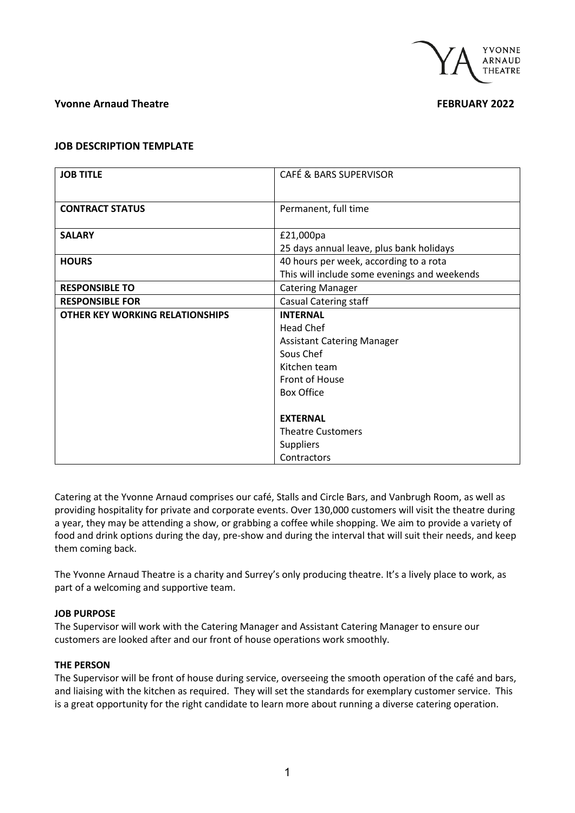

# **Yvonne Arnaud Theatre FEBRUARY 2022**

## **JOB DESCRIPTION TEMPLATE**

| <b>JOB TITLE</b>                       | <b>CAFÉ &amp; BARS SUPERVISOR</b>            |  |
|----------------------------------------|----------------------------------------------|--|
|                                        |                                              |  |
| <b>CONTRACT STATUS</b>                 | Permanent, full time                         |  |
|                                        |                                              |  |
| <b>SALARY</b>                          | £21,000pa                                    |  |
|                                        | 25 days annual leave, plus bank holidays     |  |
| <b>HOURS</b>                           | 40 hours per week, according to a rota       |  |
|                                        | This will include some evenings and weekends |  |
| <b>RESPONSIBLE TO</b>                  | <b>Catering Manager</b>                      |  |
| <b>RESPONSIBLE FOR</b>                 | <b>Casual Catering staff</b>                 |  |
| <b>OTHER KEY WORKING RELATIONSHIPS</b> | <b>INTERNAL</b>                              |  |
|                                        | <b>Head Chef</b>                             |  |
|                                        | <b>Assistant Catering Manager</b>            |  |
|                                        | Sous Chef                                    |  |
|                                        | Kitchen team                                 |  |
|                                        | Front of House                               |  |
|                                        | <b>Box Office</b>                            |  |
|                                        |                                              |  |
|                                        | <b>EXTERNAL</b>                              |  |
|                                        | <b>Theatre Customers</b>                     |  |
|                                        | <b>Suppliers</b>                             |  |
|                                        | Contractors                                  |  |

Catering at the Yvonne Arnaud comprises our café, Stalls and Circle Bars, and Vanbrugh Room, as well as providing hospitality for private and corporate events. Over 130,000 customers will visit the theatre during a year, they may be attending a show, or grabbing a coffee while shopping. We aim to provide a variety of food and drink options during the day, pre-show and during the interval that will suit their needs, and keep them coming back.

The Yvonne Arnaud Theatre is a charity and Surrey's only producing theatre. It's a lively place to work, as part of a welcoming and supportive team.

### **JOB PURPOSE**

The Supervisor will work with the Catering Manager and Assistant Catering Manager to ensure our customers are looked after and our front of house operations work smoothly.

#### **THE PERSON**

The Supervisor will be front of house during service, overseeing the smooth operation of the café and bars, and liaising with the kitchen as required. They will set the standards for exemplary customer service. This is a great opportunity for the right candidate to learn more about running a diverse catering operation.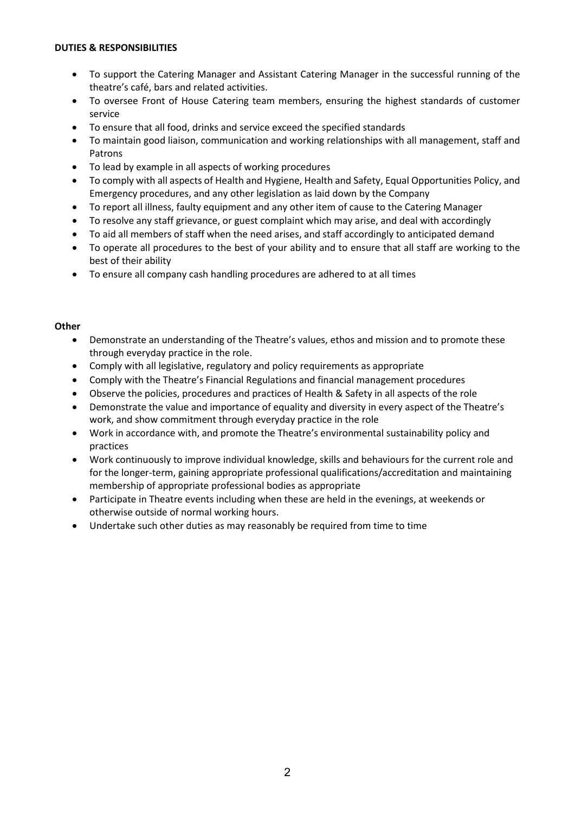## **DUTIES & RESPONSIBILITIES**

- To support the Catering Manager and Assistant Catering Manager in the successful running of the theatre's café, bars and related activities.
- To oversee Front of House Catering team members, ensuring the highest standards of customer service
- To ensure that all food, drinks and service exceed the specified standards
- To maintain good liaison, communication and working relationships with all management, staff and Patrons
- To lead by example in all aspects of working procedures
- To comply with all aspects of Health and Hygiene, Health and Safety, Equal Opportunities Policy, and Emergency procedures, and any other legislation as laid down by the Company
- To report all illness, faulty equipment and any other item of cause to the Catering Manager
- To resolve any staff grievance, or guest complaint which may arise, and deal with accordingly
- To aid all members of staff when the need arises, and staff accordingly to anticipated demand
- To operate all procedures to the best of your ability and to ensure that all staff are working to the best of their ability
- To ensure all company cash handling procedures are adhered to at all times

### **Other**

- Demonstrate an understanding of the Theatre's values, ethos and mission and to promote these through everyday practice in the role.
- Comply with all legislative, regulatory and policy requirements as appropriate
- Comply with the Theatre's Financial Regulations and financial management procedures
- Observe the policies, procedures and practices of Health & Safety in all aspects of the role
- Demonstrate the value and importance of equality and diversity in every aspect of the Theatre's work, and show commitment through everyday practice in the role
- Work in accordance with, and promote the Theatre's environmental sustainability policy and practices
- Work continuously to improve individual knowledge, skills and behaviours for the current role and for the longer-term, gaining appropriate professional qualifications/accreditation and maintaining membership of appropriate professional bodies as appropriate
- Participate in Theatre events including when these are held in the evenings, at weekends or otherwise outside of normal working hours.
- Undertake such other duties as may reasonably be required from time to time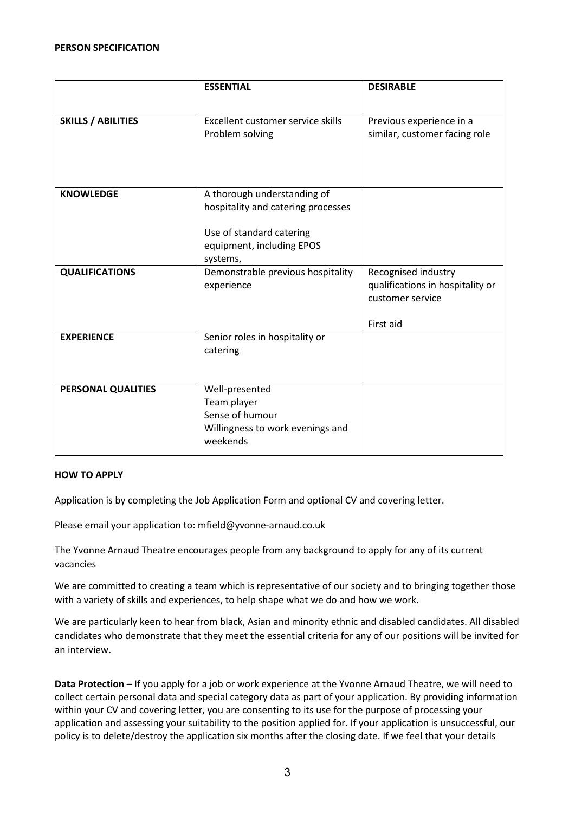|                           | <b>ESSENTIAL</b>                                                                                                                       | <b>DESIRABLE</b>                                                                         |
|---------------------------|----------------------------------------------------------------------------------------------------------------------------------------|------------------------------------------------------------------------------------------|
| <b>SKILLS / ABILITIES</b> | Excellent customer service skills<br>Problem solving                                                                                   | Previous experience in a<br>similar, customer facing role                                |
| <b>KNOWLEDGE</b>          | A thorough understanding of<br>hospitality and catering processes<br>Use of standard catering<br>equipment, including EPOS<br>systems, |                                                                                          |
| <b>QUALIFICATIONS</b>     | Demonstrable previous hospitality<br>experience                                                                                        | Recognised industry<br>qualifications in hospitality or<br>customer service<br>First aid |
| <b>EXPERIENCE</b>         | Senior roles in hospitality or<br>catering                                                                                             |                                                                                          |
| PERSONAL QUALITIES        | Well-presented<br>Team player<br>Sense of humour<br>Willingness to work evenings and<br>weekends                                       |                                                                                          |

## **HOW TO APPLY**

Application is by completing the Job Application Form and optional CV and covering letter.

Please email your application to: mfield@yvonne-arnaud.co.uk

The Yvonne Arnaud Theatre encourages people from any background to apply for any of its current vacancies

We are committed to creating a team which is representative of our society and to bringing together those with a variety of skills and experiences, to help shape what we do and how we work.

We are particularly keen to hear from black, Asian and minority ethnic and disabled candidates. All disabled candidates who demonstrate that they meet the essential criteria for any of our positions will be invited for an interview.

**Data Protection** – If you apply for a job or work experience at the Yvonne Arnaud Theatre, we will need to collect certain personal data and special category data as part of your application. By providing information within your CV and covering letter, you are consenting to its use for the purpose of processing your application and assessing your suitability to the position applied for. If your application is unsuccessful, our policy is to delete/destroy the application six months after the closing date. If we feel that your details